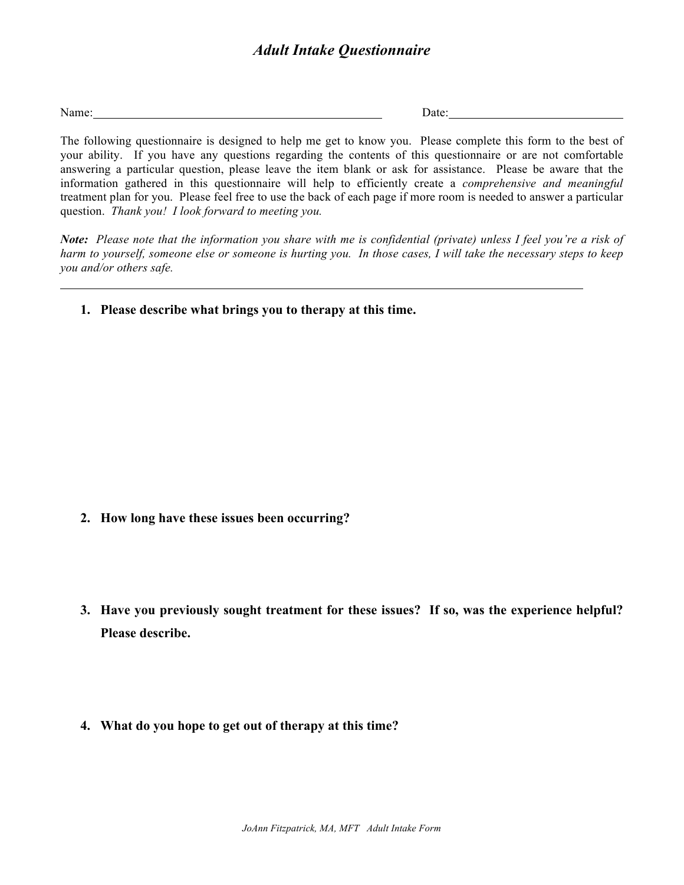Name: Date: Date:

The following questionnaire is designed to help me get to know you. Please complete this form to the best of your ability. If you have any questions regarding the contents of this questionnaire or are not comfortable answering a particular question, please leave the item blank or ask for assistance. Please be aware that the information gathered in this questionnaire will help to efficiently create a *comprehensive and meaningful* treatment plan for you. Please feel free to use the back of each page if more room is needed to answer a particular question. *Thank you! I look forward to meeting you.*

*Note: Please note that the information you share with me is confidential (private) unless I feel you're a risk of harm to yourself, someone else or someone is hurting you. In those cases, I will take the necessary steps to keep you and/or others safe.* 

**1. Please describe what brings you to therapy at this time.**

- **2. How long have these issues been occurring?**
- **3. Have you previously sought treatment for these issues? If so, was the experience helpful? Please describe.**
- **4. What do you hope to get out of therapy at this time?**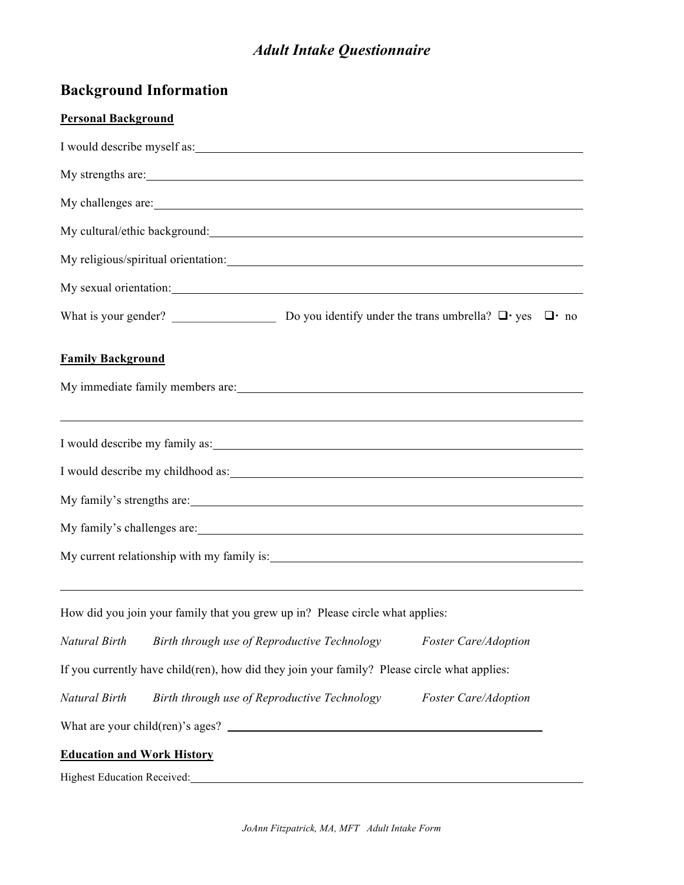## **Background Information**

### **Personal Background**

|                                   | I would describe myself as:                                                                                                                                                                                                   |  |                             |  |
|-----------------------------------|-------------------------------------------------------------------------------------------------------------------------------------------------------------------------------------------------------------------------------|--|-----------------------------|--|
|                                   | My strengths are:                                                                                                                                                                                                             |  |                             |  |
|                                   | My challenges are:                                                                                                                                                                                                            |  |                             |  |
|                                   | My cultural/ethic background:                                                                                                                                                                                                 |  |                             |  |
|                                   |                                                                                                                                                                                                                               |  |                             |  |
|                                   | My sexual orientation: New York Changes and Security and Security and Security and Security and Security and Security and Security and Security and Security and Security and Security and Security and Security and Security |  |                             |  |
|                                   |                                                                                                                                                                                                                               |  |                             |  |
| <b>Family Background</b>          |                                                                                                                                                                                                                               |  |                             |  |
|                                   |                                                                                                                                                                                                                               |  |                             |  |
|                                   | ,我们也不能在这里的时候,我们也不能在这里的时候,我们也不能会不能会不能会不能会不能会不能会不能会不能会不能会不能会。<br>第2012章 我们的时候,我们的时候,我们的时候,我们的时候,我们的时候,我们的时候,我们的时候,我们的时候,我们的时候,我们的时候,我们的时候,我们的时候,我                                                                               |  |                             |  |
|                                   |                                                                                                                                                                                                                               |  |                             |  |
|                                   | My family's strengths are:                                                                                                                                                                                                    |  |                             |  |
|                                   |                                                                                                                                                                                                                               |  |                             |  |
|                                   |                                                                                                                                                                                                                               |  |                             |  |
|                                   |                                                                                                                                                                                                                               |  |                             |  |
|                                   | How did you join your family that you grew up in? Please circle what applies:                                                                                                                                                 |  |                             |  |
| Natural Birth                     | Birth through use of Reproductive Technology                                                                                                                                                                                  |  | <b>Foster Care/Adoption</b> |  |
|                                   | If you currently have child(ren), how did they join your family? Please circle what applies:                                                                                                                                  |  |                             |  |
| Natural Birth                     | Birth through use of Reproductive Technology<br><b>Foster Care/Adoption</b>                                                                                                                                                   |  |                             |  |
|                                   | What are your child(ren)'s ages? $\qquad \qquad$                                                                                                                                                                              |  |                             |  |
| <b>Education and Work History</b> |                                                                                                                                                                                                                               |  |                             |  |
| Highest Education Received:       |                                                                                                                                                                                                                               |  |                             |  |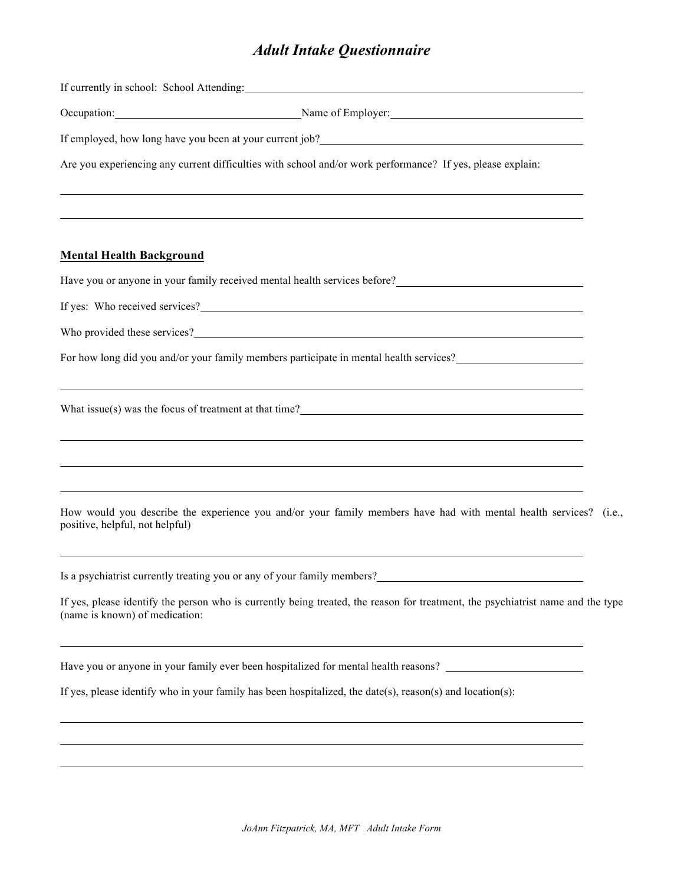If currently in school: School Attending:

Occupation: Name of Employer:

If employed, how long have you been at your current job?

Are you experiencing any current difficulties with school and/or work performance? If yes, please explain:

#### **Mental Health Background**

Have you or anyone in your family received mental health services before?

If yes: Who received services?

Who provided these services?

For how long did you and/or your family members participate in mental health services?

What issue(s) was the focus of treatment at that time?

How would you describe the experience you and/or your family members have had with mental health services? (i.e., positive, helpful, not helpful)

Is a psychiatrist currently treating you or any of your family members?

If yes, please identify the person who is currently being treated, the reason for treatment, the psychiatrist name and the type (name is known) of medication:

Have you or anyone in your family ever been hospitalized for mental health reasons?

If yes, please identify who in your family has been hospitalized, the date(s), reason(s) and location(s):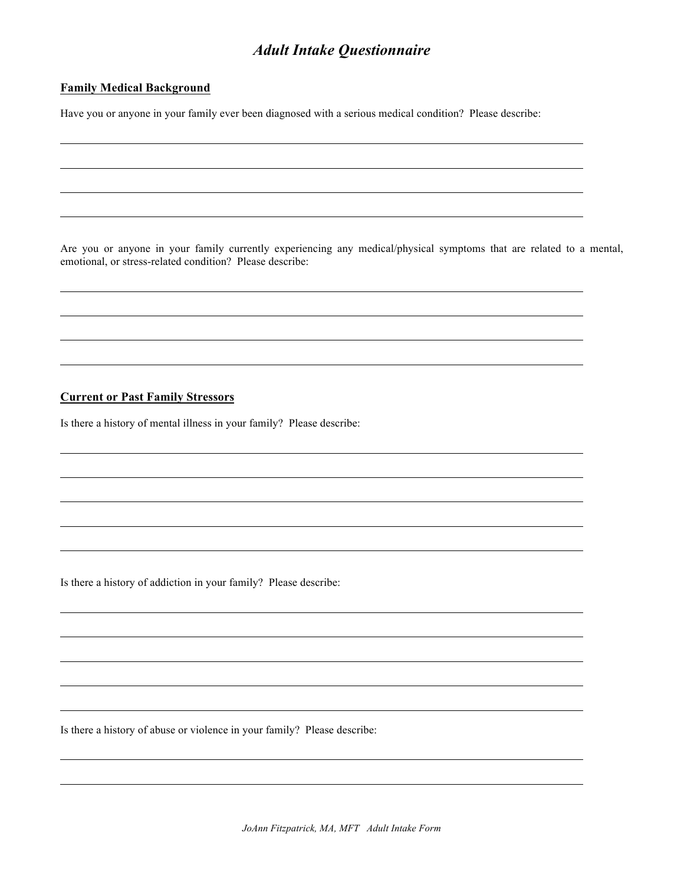#### **Family Medical Background**

Have you or anyone in your family ever been diagnosed with a serious medical condition? Please describe:

Are you or anyone in your family currently experiencing any medical/physical symptoms that are related to a mental, emotional, or stress-related condition? Please describe:

#### **Current or Past Family Stressors**

Is there a history of mental illness in your family? Please describe:

Is there a history of addiction in your family? Please describe:

Is there a history of abuse or violence in your family? Please describe: